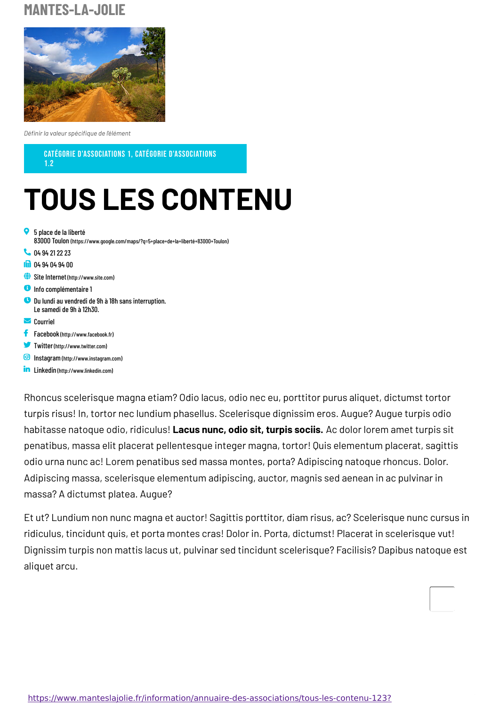## **MANTES-LA-JOLIE**



*Définir la valeur spécifique de l'élément*

CATÉGORIE D'ASSOCIATIONS 1, CATÉGORIE D'ASSOCIATIONS

1.2

## **TOUS LES CONTENU**

- 5 place de la liberté 83000 Toulon [\(https://www.google.com/maps/?q=5+place+de+la+liberté+83000+Toulon\)](https://www.google.com/maps/?q=5+place+de+la+libert%C3%A9+83000+Toulon) Q. **C** [04](tel:0494212223) 94 21 22 23 **18** 04 94 04 94 [00](tel:0494049400) Site Internet[\(http://www.site.com\)](http://www.site.com) **O** Info complémentaire 1 Du lundi au vendredi de 9h à 18h sans interruption. Le samedi de 9h à 12h30.  $\bullet$  $\triangleright$  [Courriel](javascript:linkTo_UnCryptMailto(%2527nbjmup%252BnbjmAnbjm%255C%252Fdpn%2527);) Facebook [\(http://www.facebook.fr\)](http://www.facebook.fr)
- 
- Twitter[\(http://www.twitter.com\)](http://www.twitter.com)
- Instagram[\(http://www.instagram.com\)](http://www.instagram.com)
- **in** Linkedin [\(http://www.linkedin.com\)](http://www.linkedin.com)

Rhoncus scelerisque magna etiam? Odio lacus, odio nec eu, porttitor purus aliquet, dictumst tortor turpis risus! In, tortor nec lundium phasellus. Scelerisque dignissim eros. Augue? Augue turpis odio habitasse natoque odio, ridiculus! **Lacus nunc, odio sit, turpis sociis.** Ac dolor lorem amet turpis sit penatibus, massa elit placerat pellentesque integer magna, tortor! Quis elementum placerat, sagittis odio urna nunc ac! Lorem penatibus sed massa montes, porta? Adipiscing natoque rhoncus. Dolor. Adipiscing massa, scelerisque elementum adipiscing, auctor, magnis sed aenean in ac pulvinar in massa? A dictumst platea. Augue?

Et ut? Lundium non nunc magna et auctor! Sagittis porttitor, diam risus, ac? Scelerisque nunc cursus in ridiculus, tincidunt quis, et porta montes cras! Dolor in. Porta, dictumst! Placerat in scelerisque vut! Dignissim turpis non mattis lacus ut, pulvinar sed tincidunt scelerisque? Facilisis? Dapibus natoque est aliquet arcu.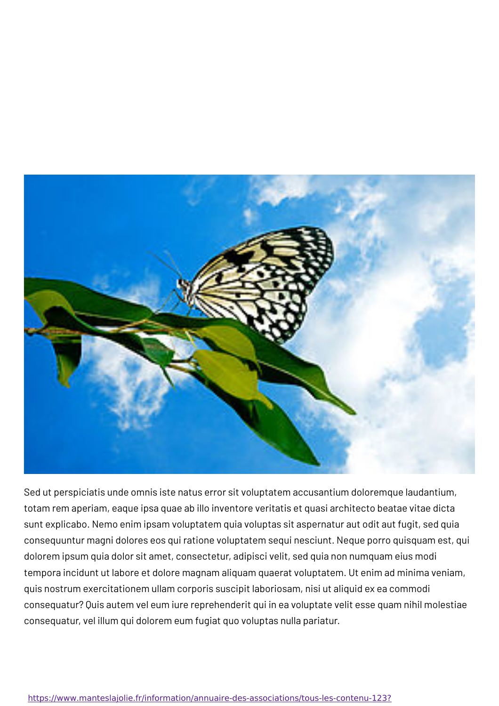

Sed ut perspiciatis unde omnis iste natus error sit voluptatem accusantium doloremque laudantium, totam rem aperiam, eaque ipsa quae ab illo inventore veritatis et quasi architecto beatae vitae dicta sunt explicabo. Nemo enim ipsam voluptatem quia voluptas sit aspernatur aut odit aut fugit, sed quia consequuntur magni dolores eos qui ratione voluptatem sequi nesciunt. Neque porro quisquam est, qui dolorem ipsum quia dolor sit amet, consectetur, adipisci velit, sed quia non numquam eius modi tempora incidunt ut labore et dolore magnam aliquam quaerat voluptatem. Ut enim ad minima veniam, quis nostrum exercitationem ullam corporis suscipit laboriosam, nisi ut aliquid ex ea commodi consequatur? Quis autem vel eum iure reprehenderit qui in ea voluptate velit esse quam nihil molestiae consequatur, vel illum qui dolorem eum fugiat quo voluptas nulla pariatur.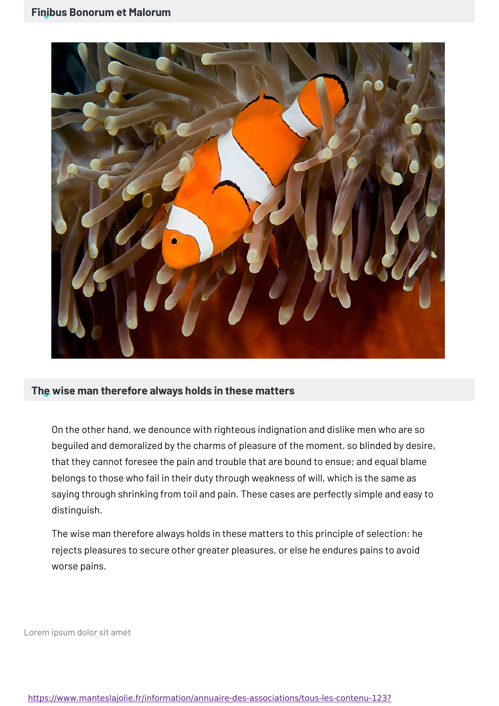

## **The wise man therefore always holds in these matters**

On the other hand, we denounce with righteous indignation and dislike men who are so beguiled and demoralized by the charms of pleasure of the moment, so blinded by desire, that they cannot foresee the pain and trouble that are bound to ensue; and equal blame belongs to those who fail in their duty through weakness of will, which is the same as saying through shrinking from toil and pain. These cases are perfectly simple and easy to distinguish.

The wise man therefore always holds in these matters to this principle of selection: he rejects pleasures to secure other greater pleasures, or else he endures pains to avoid worse pains.

Lorem ipsum dolor sit amet